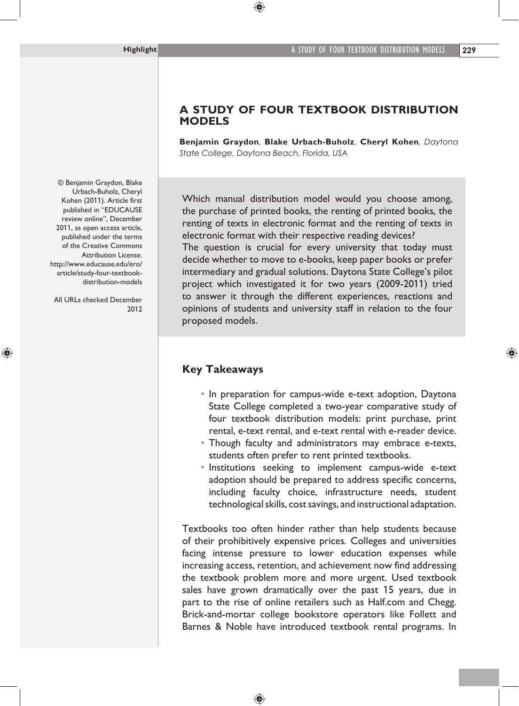## **A STUDY OF FOUR TEXTBOOK DISTRIBUTION MODELS**

**Benjamin Graydon***,* **Blake Urbach-Buholz***,* **Cheryl Kohen***, Daytona State College, Daytona Beach, Florida, USA* 

Which manual distribution model would you choose among, the purchase of printed books, the renting of printed books, the renting of texts in electronic format and the renting of texts in electronic format with their respective reading devices?

The question is crucial for every university that today must decide whether to move to e-books, keep paper books or prefer intermediary and gradual solutions. Daytona State College's pilot project which investigated it for two years (2009-2011) tried to answer it through the different experiences, reactions and opinions of students and university staff in relation to the four proposed models.

## **Key Takeaways**

- In preparation for campus-wide e-text adoption, Daytona State College completed a two-year comparative study of four textbook distribution models: print purchase, print rental, e-text rental, and e-text rental with e-reader device.
- Though faculty and administrators may embrace e-texts, students often prefer to rent printed textbooks.
- Institutions seeking to implement campus-wide e-text adoption should be prepared to address specific concerns, including faculty choice, infrastructure needs, student technological skills, cost savings, and instructional adaptation.

Textbooks too often hinder rather than help students because of their prohibitively expensive prices. Colleges and universities facing intense pressure to lower education expenses while increasing access, retention, and achievement now find addressing the textbook problem more and more urgent. Used textbook sales have grown dramatically over the past 15 years, due in part to the rise of online retailers such as Half.com and Chegg. Brick-and-mortar college bookstore operators like Follett and Barnes & Noble have introduced textbook rental programs. In

© Benjamin Graydon, Blake Urbach-Buholz, Cheryl Kohen (2011). Article first published in "EDUCAUSE review online", December 2011, as open access article, published under the terms of the Creative Commons Attribution License. http://www.educause.edu/ero/ article/study-four-textbookdistribution-models

All URLs checked December 2012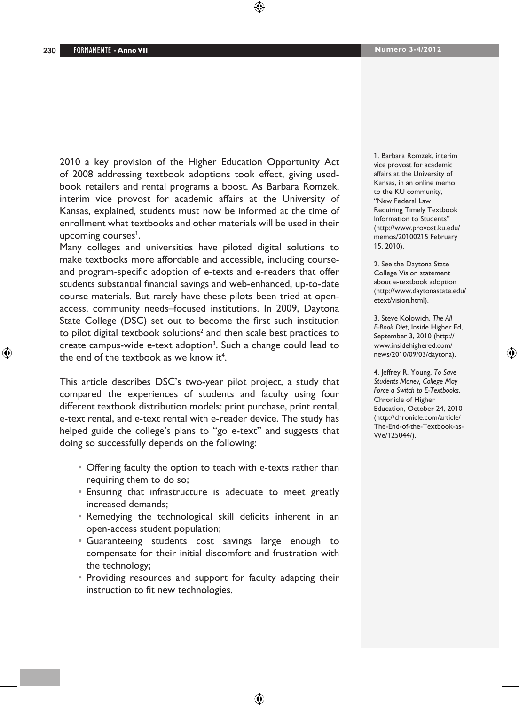2010 a key provision of the Higher Education Opportunity Act of 2008 addressing textbook adoptions took effect, giving usedbook retailers and rental programs a boost. As Barbara Romzek, interim vice provost for academic affairs at the University of Kansas, explained, students must now be informed at the time of enrollment what textbooks and other materials will be used in their upcoming courses<sup>1</sup>.

Many colleges and universities have piloted digital solutions to make textbooks more affordable and accessible, including courseand program-specific adoption of e-texts and e-readers that offer students substantial financial savings and web-enhanced, up-to-date course materials. But rarely have these pilots been tried at openaccess, community needs–focused institutions. In 2009, Daytona State College (DSC) set out to become the first such institution to pilot digital textbook solutions<sup>2</sup> and then scale best practices to create campus-wide e-text adoption<sup>3</sup>. Such a change could lead to the end of the textbook as we know it<sup>4</sup>.

This article describes DSC's two-year pilot project, a study that compared the experiences of students and faculty using four different textbook distribution models: print purchase, print rental, e-text rental, and e-text rental with e-reader device. The study has helped guide the college's plans to "go e-text" and suggests that doing so successfully depends on the following:

- Offering faculty the option to teach with e-texts rather than requiring them to do so;
- Ensuring that infrastructure is adequate to meet greatly increased demands;
- Remedying the technological skill deficits inherent in an open-access student population;
- • Guaranteeing students cost savings large enough to compensate for their initial discomfort and frustration with the technology;
- Providing resources and support for faculty adapting their instruction to fit new technologies.

1. Barbara Romzek, interim vice provost for academic affairs at the University of Kansas, in an online memo to the KU community, "New Federal Law Requiring Timely Textbook Information to Students" (http://www.provost.ku.edu/ memos/20100215 February 15, 2010).

2. See the Daytona State College Vision statement about e-textbook adoption (http://www.daytonastate.edu/ etext/vision.html).

3. Steve Kolowich, *The All E-Book Diet*, Inside Higher Ed, September 3, 2010 (http:// www.insidehighered.com/ news/2010/09/03/daytona).

4. Jeffrey R. Young, *To Save Students Money, College May Force a Switch to E-Textbooks*, Chronicle of Higher Education, October 24, 2010 (http://chronicle.com/article/ The-End-of-the-Textbook-as-We/125044/).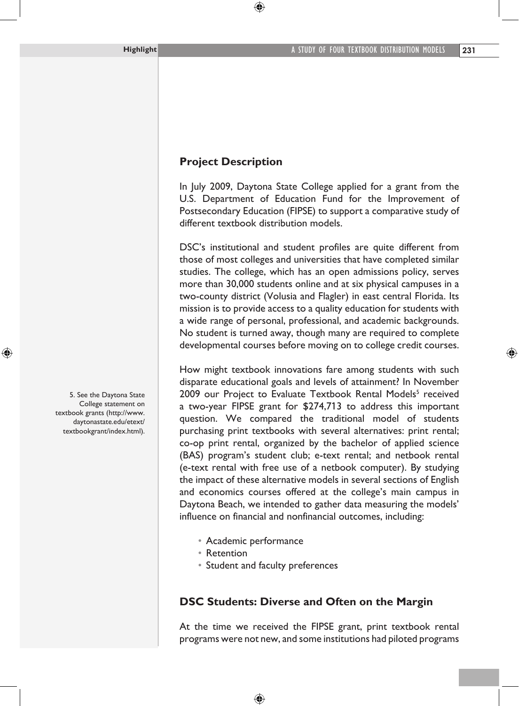# **Project Description**

In July 2009, Daytona State College applied for a grant from the U.S. Department of Education Fund for the Improvement of Postsecondary Education (FIPSE) to support a comparative study of different textbook distribution models.

DSC's institutional and student profiles are quite different from those of most colleges and universities that have completed similar studies. The college, which has an open admissions policy, serves more than 30,000 students online and at six physical campuses in a two-county district (Volusia and Flagler) in east central Florida. Its mission is to provide access to a quality education for students with a wide range of personal, professional, and academic backgrounds. No student is turned away, though many are required to complete developmental courses before moving on to college credit courses.

How might textbook innovations fare among students with such disparate educational goals and levels of attainment? In November 2009 our Project to Evaluate Textbook Rental Models<sup>5</sup> received a two-year FIPSE grant for \$274,713 to address this important question. We compared the traditional model of students purchasing print textbooks with several alternatives: print rental; co-op print rental, organized by the bachelor of applied science (BAS) program's student club; e-text rental; and netbook rental (e-text rental with free use of a netbook computer). By studying the impact of these alternative models in several sections of English and economics courses offered at the college's main campus in Daytona Beach, we intended to gather data measuring the models' influence on financial and nonfinancial outcomes, including:

- • Academic performance
- • Retention
- Student and faculty preferences

## **DSC Students: Diverse and Often on the Margin**

At the time we received the FIPSE grant, print textbook rental programs were not new, and some institutions had piloted programs

5. See the Daytona State College statement on textbook grants (http://www. daytonastate.edu/etext/ textbookgrant/index.html).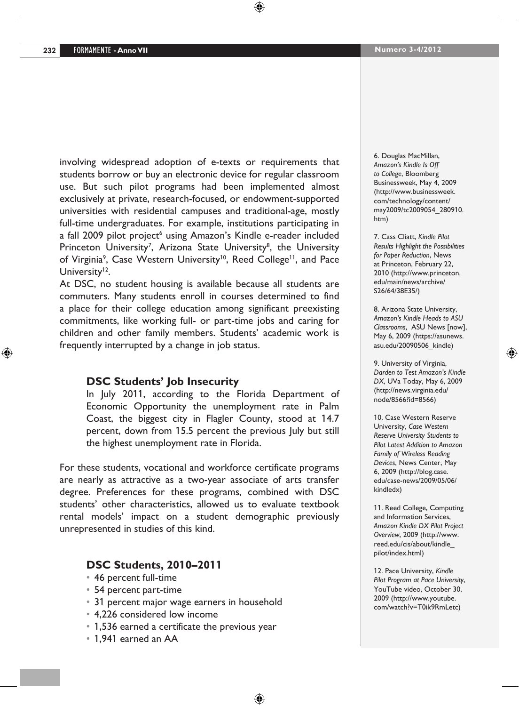involving widespread adoption of e-texts or requirements that students borrow or buy an electronic device for regular classroom use. But such pilot programs had been implemented almost exclusively at private, research-focused, or endowment-supported universities with residential campuses and traditional-age, mostly full-time undergraduates. For example, institutions participating in a fall 2009 pilot project<sup>6</sup> using Amazon's Kindle e-reader included Princeton University<sup>7</sup>, Arizona State University<sup>8</sup>, the University of Virginia<sup>9</sup>, Case Western University<sup>10</sup>, Reed College<sup>11</sup>, and Pace University $12$ .

At DSC, no student housing is available because all students are commuters. Many students enroll in courses determined to find a place for their college education among significant preexisting commitments, like working full- or part-time jobs and caring for children and other family members. Students' academic work is frequently interrupted by a change in job status.

### **DSC Students' Job Insecurity**

In July 2011, according to the Florida Department of Economic Opportunity the unemployment rate in Palm Coast, the biggest city in Flagler County, stood at 14.7 percent, down from 15.5 percent the previous July but still the highest unemployment rate in Florida.

For these students, vocational and workforce certificate programs are nearly as attractive as a two-year associate of arts transfer degree. Preferences for these programs, combined with DSC students' other characteristics, allowed us to evaluate textbook rental models' impact on a student demographic previously unrepresented in studies of this kind.

### **DSC Students, 2010–2011**

- • 46 percent full-time
- • 54 percent part-time
- 31 percent major wage earners in household
- 4,226 considered low income
- 1,536 earned a certificate the previous year
- • 1,941 earned an AA

6. Douglas MacMillan, *Amazon's Kindle Is Off to College*, Bloomberg Businessweek, May 4, 2009 (http://www.businessweek. com/technology/content/ may2009/tc2009054\_280910. htm)

7. Cass Cliatt, *Kindle Pilot Results Highlight the Possibilities for Paper Reduction*, News at Princeton, February 22, 2010 (http://www.princeton. edu/main/news/archive/ S26/64/38E35/)

8. Arizona State University, *Amazon's Kindle Heads to ASU Classrooms*, ASU News [now], May 6, 2009 (https://asunews. asu.edu/20090506\_kindle)

9. University of Virginia, *Darden to Test Amazon's Kindle DX*, UVa Today, May 6, 2009 (http://news.virginia.edu/ node/8566?id=8566)

10. Case Western Reserve University, *Case Western Reserve University Students to Pilot Latest Addition to Amazon Family of Wireless Reading Devices*, News Center, May 6, 2009 (http://blog.case. edu/case-news/2009/05/06/ kindledx)

11. Reed College, Computing and Information Services, *Amazon Kindle DX Pilot Project Overview*, 2009 (http://www. reed.edu/cis/about/kindle\_ pilot/index.html)

12. Pace University, *Kindle Pilot Program at Pace University*, YouTube video, October 30, 2009 (http://www.youtube. com/watch?v=T0ik9RmLetc)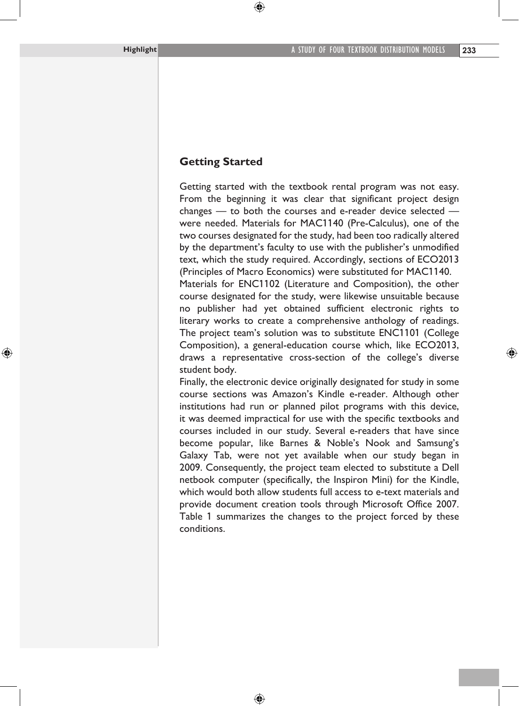### **Getting Started**

Getting started with the textbook rental program was not easy. From the beginning it was clear that significant project design changes — to both the courses and e-reader device selected were needed. Materials for MAC1140 (Pre-Calculus), one of the two courses designated for the study, had been too radically altered by the department's faculty to use with the publisher's unmodified text, which the study required. Accordingly, sections of ECO2013 (Principles of Macro Economics) were substituted for MAC1140.

Materials for ENC1102 (Literature and Composition), the other course designated for the study, were likewise unsuitable because no publisher had yet obtained sufficient electronic rights to literary works to create a comprehensive anthology of readings. The project team's solution was to substitute ENC1101 (College Composition), a general-education course which, like ECO2013, draws a representative cross-section of the college's diverse student body.

Finally, the electronic device originally designated for study in some course sections was Amazon's Kindle e-reader. Although other institutions had run or planned pilot programs with this device, it was deemed impractical for use with the specific textbooks and courses included in our study. Several e-readers that have since become popular, like Barnes & Noble's Nook and Samsung's Galaxy Tab, were not yet available when our study began in 2009. Consequently, the project team elected to substitute a Dell netbook computer (specifically, the Inspiron Mini) for the Kindle, which would both allow students full access to e-text materials and provide document creation tools through Microsoft Office 2007. Table 1 summarizes the changes to the project forced by these conditions.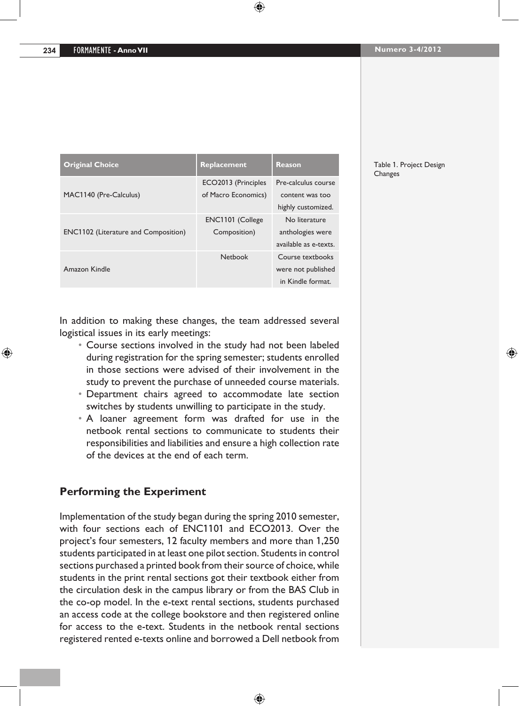| <b>Original Choice</b>                      | Replacement         | Reason                |
|---------------------------------------------|---------------------|-----------------------|
|                                             | ECO2013 (Principles | Pre-calculus course   |
| MAC1140 (Pre-Calculus)                      | of Macro Economics) | content was too       |
|                                             |                     | highly customized.    |
|                                             | ENC1101 (College    | No literature         |
| <b>ENC1102</b> (Literature and Composition) | Composition)        | anthologies were      |
|                                             |                     | available as e-texts. |
|                                             | Netbook             | Course textbooks      |
| Amazon Kindle                               |                     | were not published    |
|                                             |                     | in Kindle format.     |

#### Table 1. Project Design Changes

In addition to making these changes, the team addressed several logistical issues in its early meetings:

- • Course sections involved in the study had not been labeled during registration for the spring semester; students enrolled in those sections were advised of their involvement in the study to prevent the purchase of unneeded course materials.
- • Department chairs agreed to accommodate late section switches by students unwilling to participate in the study.
- • A loaner agreement form was drafted for use in the netbook rental sections to communicate to students their responsibilities and liabilities and ensure a high collection rate of the devices at the end of each term.

## **Performing the Experiment**

Implementation of the study began during the spring 2010 semester, with four sections each of ENC1101 and ECO2013. Over the project's four semesters, 12 faculty members and more than 1,250 students participated in at least one pilot section. Students in control sections purchased a printed book from their source of choice, while students in the print rental sections got their textbook either from the circulation desk in the campus library or from the BAS Club in the co-op model. In the e-text rental sections, students purchased an access code at the college bookstore and then registered online for access to the e-text. Students in the netbook rental sections registered rented e-texts online and borrowed a Dell netbook from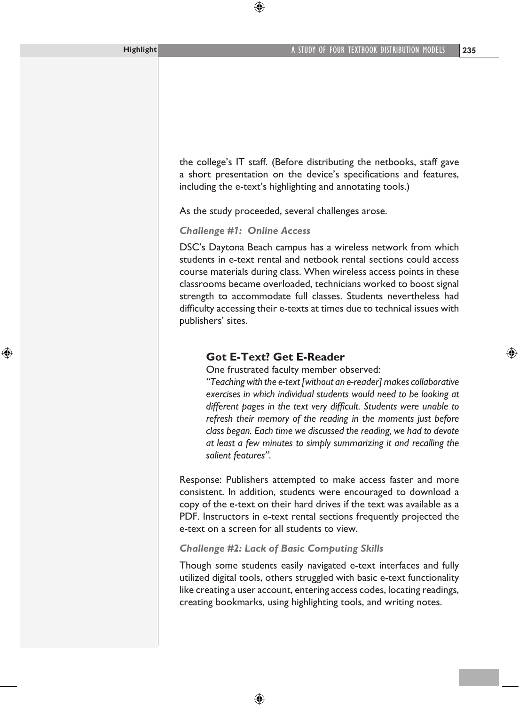the college's IT staff. (Before distributing the netbooks, staff gave a short presentation on the device's specifications and features, including the e-text's highlighting and annotating tools.)

As the study proceeded, several challenges arose.

*Challenge #1: Online Access*

DSC's Daytona Beach campus has a wireless network from which students in e-text rental and netbook rental sections could access course materials during class. When wireless access points in these classrooms became overloaded, technicians worked to boost signal strength to accommodate full classes. Students nevertheless had difficulty accessing their e-texts at times due to technical issues with publishers' sites.

### **Got E-Text? Get E-Reader**

One frustrated faculty member observed:

*"Teaching with the e-text [without an e-reader] makes collaborative exercises in which individual students would need to be looking at different pages in the text very difficult. Students were unable to refresh their memory of the reading in the moments just before class began. Each time we discussed the reading, we had to devote at least a few minutes to simply summarizing it and recalling the salient features".*

Response: Publishers attempted to make access faster and more consistent. In addition, students were encouraged to download a copy of the e-text on their hard drives if the text was available as a PDF. Instructors in e-text rental sections frequently projected the e-text on a screen for all students to view.

#### *Challenge #2: Lack of Basic Computing Skills*

Though some students easily navigated e-text interfaces and fully utilized digital tools, others struggled with basic e-text functionality like creating a user account, entering access codes, locating readings, creating bookmarks, using highlighting tools, and writing notes.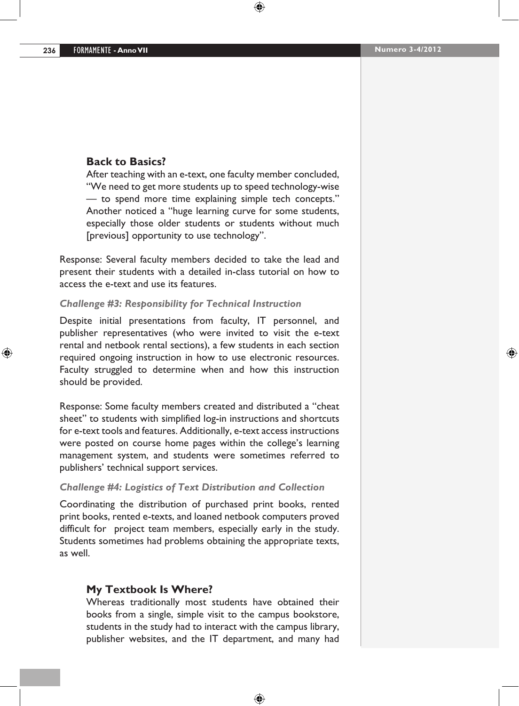#### **Back to Basics?**

After teaching with an e-text, one faculty member concluded, "We need to get more students up to speed technology-wise — to spend more time explaining simple tech concepts." Another noticed a "huge learning curve for some students, especially those older students or students without much [previous] opportunity to use technology".

Response: Several faculty members decided to take the lead and present their students with a detailed in-class tutorial on how to access the e-text and use its features.

#### *Challenge #3: Responsibility for Technical Instruction*

Despite initial presentations from faculty, IT personnel, and publisher representatives (who were invited to visit the e-text rental and netbook rental sections), a few students in each section required ongoing instruction in how to use electronic resources. Faculty struggled to determine when and how this instruction should be provided.

Response: Some faculty members created and distributed a "cheat sheet" to students with simplified log-in instructions and shortcuts for e-text tools and features. Additionally, e-text access instructions were posted on course home pages within the college's learning management system, and students were sometimes referred to publishers' technical support services.

#### *Challenge #4: Logistics of Text Distribution and Collection*

Coordinating the distribution of purchased print books, rented print books, rented e-texts, and loaned netbook computers proved difficult for project team members, especially early in the study. Students sometimes had problems obtaining the appropriate texts, as well.

### **My Textbook Is Where?**

Whereas traditionally most students have obtained their books from a single, simple visit to the campus bookstore, students in the study had to interact with the campus library, publisher websites, and the IT department, and many had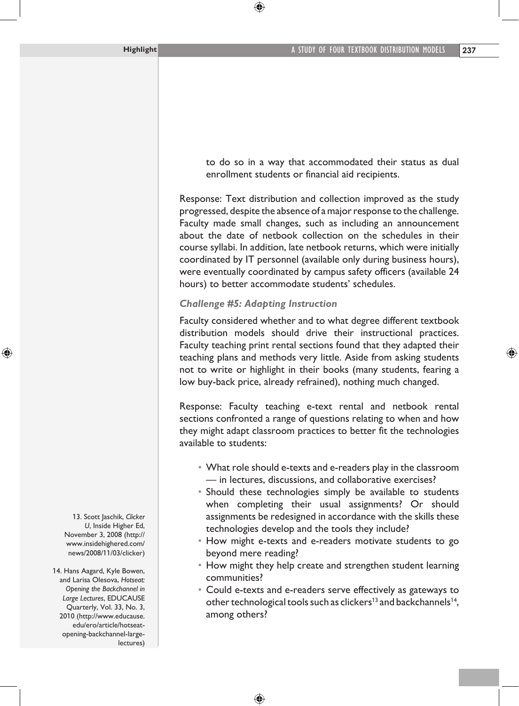to do so in a way that accommodated their status as dual enrollment students or financial aid recipients.

Response: Text distribution and collection improved as the study progressed, despite the absence of a major response to the challenge. Faculty made small changes, such as including an announcement about the date of netbook collection on the schedules in their course syllabi. In addition, late netbook returns, which were initially coordinated by IT personnel (available only during business hours), were eventually coordinated by campus safety officers (available 24 hours) to better accommodate students' schedules.

#### *Challenge #5: Adapting Instruction*

Faculty considered whether and to what degree different textbook distribution models should drive their instructional practices. Faculty teaching print rental sections found that they adapted their teaching plans and methods very little. Aside from asking students not to write or highlight in their books (many students, fearing a low buy-back price, already refrained), nothing much changed.

Response: Faculty teaching e-text rental and netbook rental sections confronted a range of questions relating to when and how they might adapt classroom practices to better fit the technologies available to students:

- What role should e-texts and e-readers play in the classroom — in lectures, discussions, and collaborative exercises?
- Should these technologies simply be available to students when completing their usual assignments? Or should assignments be redesigned in accordance with the skills these technologies develop and the tools they include?
- How might e-texts and e-readers motivate students to go beyond mere reading?
- How might they help create and strengthen student learning communities?
- Could e-texts and e-readers serve effectively as gateways to other technological tools such as clickers<sup>13</sup> and backchannels<sup>14</sup>, among others?

13. Scott Jaschik, *Clicker U*, Inside Higher Ed, November 3, 2008 (http:// www.insidehighered.com/ news/2008/11/03/clicker)

14. Hans Aagard, Kyle Bowen, and Larisa Olesova, *Hotseat: Opening the Backchannel in Large Lectures*, EDUCAUSE Quarterly, Vol. 33, No. 3, 2010 (http://www.educause. edu/ero/article/hotseatopening-backchannel-largelectures)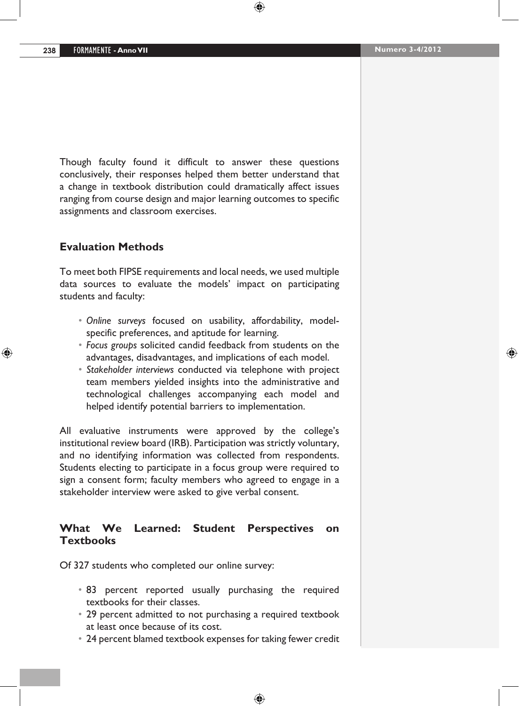Though faculty found it difficult to answer these questions conclusively, their responses helped them better understand that a change in textbook distribution could dramatically affect issues ranging from course design and major learning outcomes to specific assignments and classroom exercises.

### **Evaluation Methods**

To meet both FIPSE requirements and local needs, we used multiple data sources to evaluate the models' impact on participating students and faculty:

- *• Online surveys* focused on usability, affordability, modelspecific preferences, and aptitude for learning.
- *• Focus groups* solicited candid feedback from students on the advantages, disadvantages, and implications of each model.
- *• Stakeholder interviews* conducted via telephone with project team members yielded insights into the administrative and technological challenges accompanying each model and helped identify potential barriers to implementation.

All evaluative instruments were approved by the college's institutional review board (IRB). Participation was strictly voluntary, and no identifying information was collected from respondents. Students electing to participate in a focus group were required to sign a consent form; faculty members who agreed to engage in a stakeholder interview were asked to give verbal consent.

## **What We Learned: Student Perspectives on Textbooks**

Of 327 students who completed our online survey:

- 83 percent reported usually purchasing the required textbooks for their classes.
- 29 percent admitted to not purchasing a required textbook at least once because of its cost.
- • 24 percent blamed textbook expenses for taking fewer credit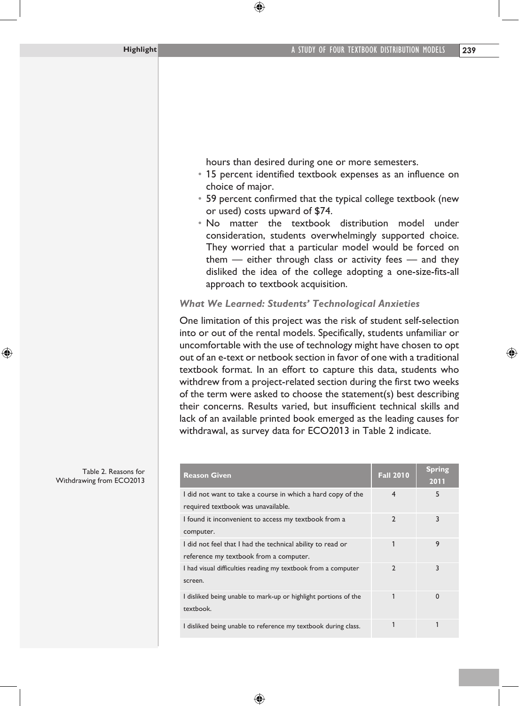hours than desired during one or more semesters.

- 15 percent identified textbook expenses as an influence on choice of major.
- 59 percent confirmed that the typical college textbook (new or used) costs upward of \$74.
- • No matter the textbook distribution model under consideration, students overwhelmingly supported choice. They worried that a particular model would be forced on them — either through class or activity fees — and they disliked the idea of the college adopting a one-size-fits-all approach to textbook acquisition.

#### *What We Learned: Students' Technological Anxieties*

One limitation of this project was the risk of student self-selection into or out of the rental models. Specifically, students unfamiliar or uncomfortable with the use of technology might have chosen to opt out of an e-text or netbook section in favor of one with a traditional textbook format. In an effort to capture this data, students who withdrew from a project-related section during the first two weeks of the term were asked to choose the statement(s) best describing their concerns. Results varied, but insufficient technical skills and lack of an available printed book emerged as the leading causes for withdrawal, as survey data for ECO2013 in Table 2 indicate.

| <b>Reason Given</b>                                                                                  | <b>Fall 2010</b> | Spring<br>2011 |
|------------------------------------------------------------------------------------------------------|------------------|----------------|
| I did not want to take a course in which a hard copy of the<br>required textbook was unavailable.    | 4                | 5              |
| I found it inconvenient to access my textbook from a<br>computer.                                    | $\overline{2}$   | 3              |
| I did not feel that I had the technical ability to read or<br>reference my textbook from a computer. |                  | 9              |
| I had visual difficulties reading my textbook from a computer<br>screen.                             | $\mathcal{P}$    | 3              |
| I disliked being unable to mark-up or highlight portions of the<br>textbook.                         | 1                | $\Omega$       |
| I disliked being unable to reference my textbook during class.                                       |                  |                |

Table 2. Reasons for Withdrawing from ECO2013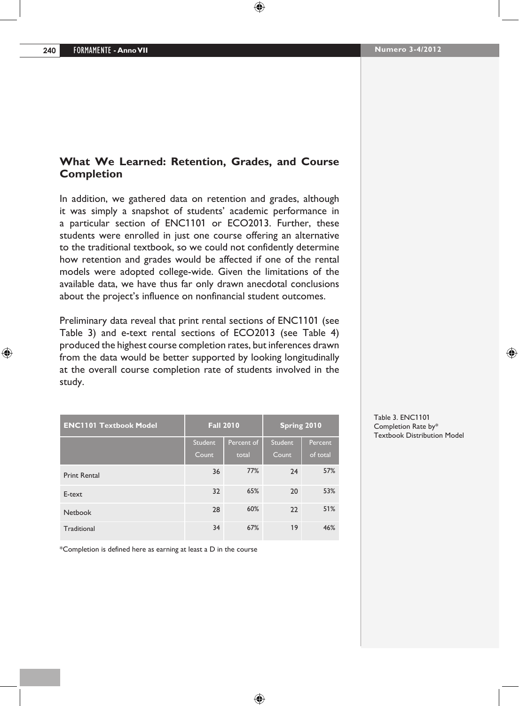## **What We Learned: Retention, Grades, and Course Completion**

In addition, we gathered data on retention and grades, although it was simply a snapshot of students' academic performance in a particular section of ENC1101 or ECO2013. Further, these students were enrolled in just one course offering an alternative to the traditional textbook, so we could not confidently determine how retention and grades would be affected if one of the rental models were adopted college-wide. Given the limitations of the available data, we have thus far only drawn anecdotal conclusions about the project's influence on nonfinancial student outcomes.

Preliminary data reveal that print rental sections of ENC1101 (see Table 3) and e-text rental sections of ECO2013 (see Table 4) produced the highest course completion rates, but inferences drawn from the data would be better supported by looking longitudinally at the overall course completion rate of students involved in the study.

| <b>ENC1101 Textbook Model</b> | <b>Fall 2010</b> |            | Spring 2010 |          |
|-------------------------------|------------------|------------|-------------|----------|
|                               | Student          | Percent of | Student     | Percent  |
|                               | Count            | total      | Count       | of total |
| <b>Print Rental</b>           | 36               | 77%        | 24          | 57%      |
| E-text                        | 32               | 65%        | 20          | 53%      |
| <b>Netbook</b>                | 28               | 60%        | 22          | 51%      |
| Traditional                   | 34               | 67%        | 19          | 46%      |

\*Completion is defined here as earning at least a D in the course

Table 3. ENC1101 Completion Rate by\* Textbook Distribution Model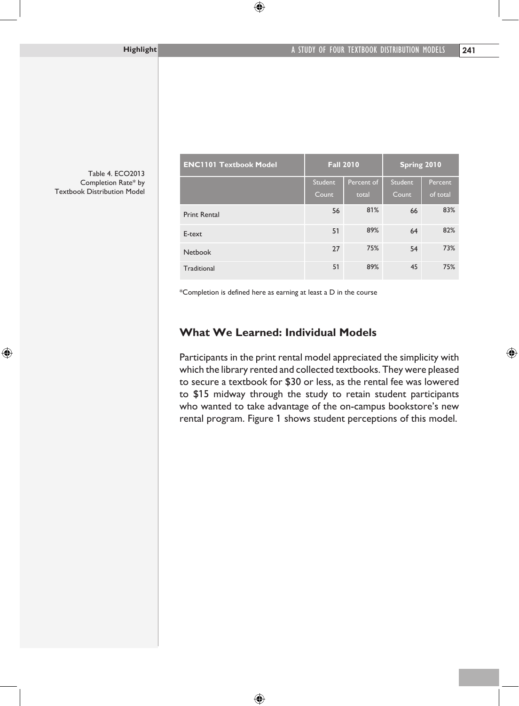Table 4. ECO2013 Completion Rate\* by Textbook Distribution Model

| <b>ENC1101 Textbook Model</b> | <b>Fall 2010</b> |            | Spring 2010 |          |
|-------------------------------|------------------|------------|-------------|----------|
|                               | Student          | Percent of | Student     | Percent  |
|                               | Count            | total      | Count       | of total |
| <b>Print Rental</b>           | 56               | 81%        | 66          | 83%      |
| E-text                        | 51               | 89%        | 64          | 82%      |
| <b>Netbook</b>                | 27               | 75%        | 54          | 73%      |
| Traditional                   | 51               | 89%        | 45          | 75%      |

\*Completion is defined here as earning at least a D in the course

## **What We Learned: Individual Models**

Participants in the print rental model appreciated the simplicity with which the library rented and collected textbooks. They were pleased to secure a textbook for \$30 or less, as the rental fee was lowered to \$15 midway through the study to retain student participants who wanted to take advantage of the on-campus bookstore's new rental program. Figure 1 shows student perceptions of this model.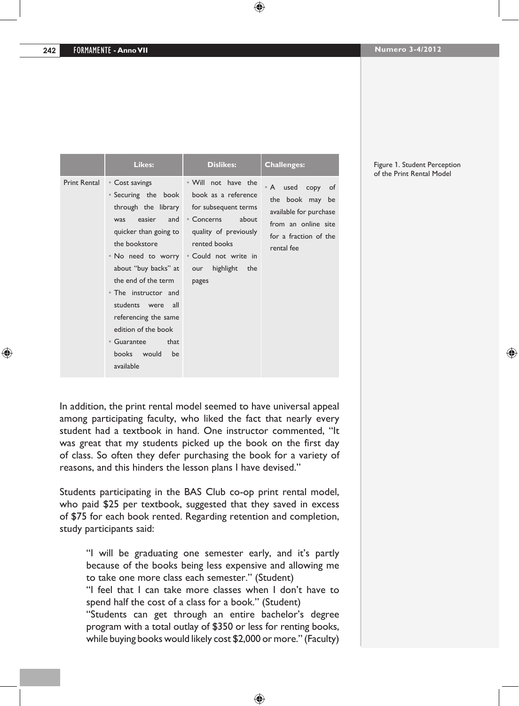|                     | Likes:                                                                                                                                                                                                                                                                                                      | <b>Dislikes:</b>                                                                                                                                                                                                                            | <b>Challenges:</b>                                                                                                          |
|---------------------|-------------------------------------------------------------------------------------------------------------------------------------------------------------------------------------------------------------------------------------------------------------------------------------------------------------|---------------------------------------------------------------------------------------------------------------------------------------------------------------------------------------------------------------------------------------------|-----------------------------------------------------------------------------------------------------------------------------|
| <b>Print Rental</b> | • Cost savings<br>• Securing the book<br>easier<br>and<br>was<br>quicker than going to<br>the bookstore<br>about "buy backs" at<br>the end of the term<br>• The instructor and<br>students were all<br>referencing the same<br>edition of the book<br>• Guarantee<br>that<br>books would<br>be<br>available | • Will not have the<br>book as a reference<br>through the library for subsequent terms<br>$^{\circ}$ Concerns<br>about<br>quality of previously<br>rented books<br>• No need to worry • Could not write in<br>highlight the<br>our<br>pages | • A used copy of<br>the book may be<br>available for purchase<br>from an online site<br>for a fraction of the<br>rental fee |

Figure 1. Student Perception of the Print Rental Model

In addition, the print rental model seemed to have universal appeal among participating faculty, who liked the fact that nearly every student had a textbook in hand. One instructor commented, "It was great that my students picked up the book on the first day of class. So often they defer purchasing the book for a variety of reasons, and this hinders the lesson plans I have devised."

Students participating in the BAS Club co-op print rental model, who paid \$25 per textbook, suggested that they saved in excess of \$75 for each book rented. Regarding retention and completion, study participants said:

"I will be graduating one semester early, and it's partly because of the books being less expensive and allowing me to take one more class each semester." (Student) "I feel that I can take more classes when I don't have to spend half the cost of a class for a book." (Student) "Students can get through an entire bachelor's degree program with a total outlay of \$350 or less for renting books, while buying books would likely cost \$2,000 or more." (Faculty)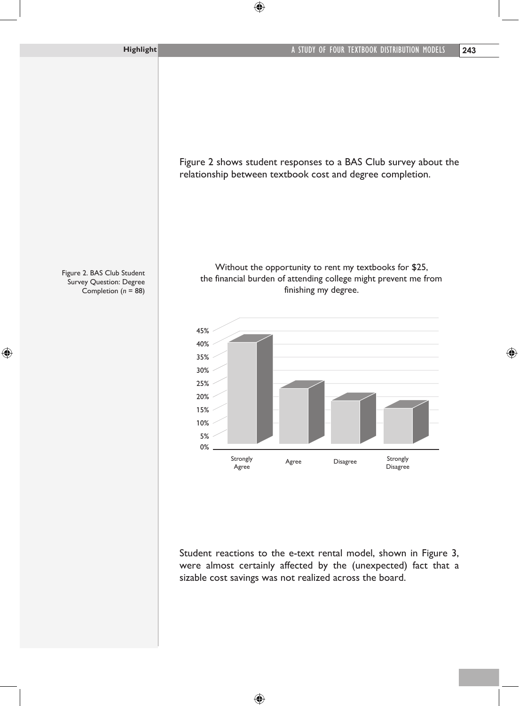Figure 2 shows student responses to a BAS Club survey about the relationship between textbook cost and degree completion.

Without the opportunity to rent my textbooks for \$25, the financial burden of attending college might prevent me from finishing my degree.





Student reactions to the e-text rental model, shown in Figure 3, were almost certainly affected by the (unexpected) fact that a sizable cost savings was not realized across the board.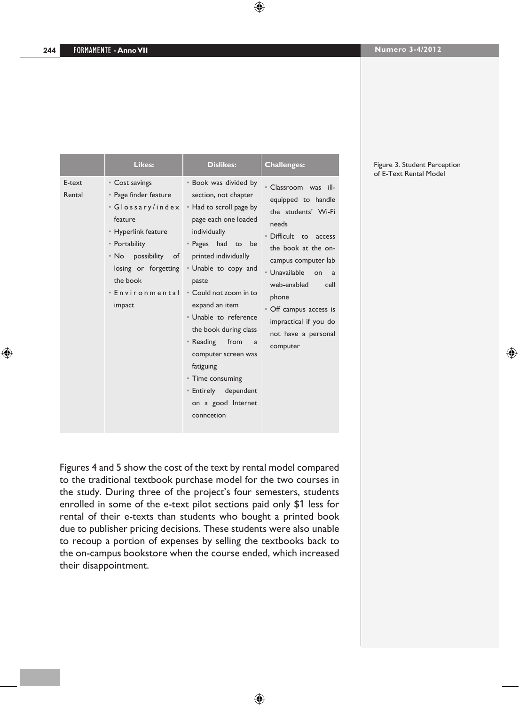|                  | Likes:                                                                                                                                                                                                    | <b>Dislikes:</b>                                                                                                                                                                                                                                                                                                                                                                                                                                | <b>Challenges:</b>                                                                                                                                                                                                                                                                                                   |
|------------------|-----------------------------------------------------------------------------------------------------------------------------------------------------------------------------------------------------------|-------------------------------------------------------------------------------------------------------------------------------------------------------------------------------------------------------------------------------------------------------------------------------------------------------------------------------------------------------------------------------------------------------------------------------------------------|----------------------------------------------------------------------------------------------------------------------------------------------------------------------------------------------------------------------------------------------------------------------------------------------------------------------|
| E-text<br>Rental | • Cost savings<br>• Page finder feature<br>• Glossary/index<br>feature<br>• Hyperlink feature<br>• Portability<br>• No possibility<br>of<br>losing or forgetting<br>the book<br>• Environmental<br>impact | • Book was divided by<br>section, not chapter<br>• Had to scroll page by<br>page each one loaded<br>individually<br>• Pages had to<br>be<br>printed individually<br>• Unable to copy and<br>paste<br>• Could not zoom in to<br>expand an item<br>• Unable to reference<br>the book during class<br>• Reading from<br>a<br>computer screen was<br>fatiguing<br>• Time consuming<br><b>Entirely</b> dependent<br>on a good Internet<br>conncetion | · Classroom was ill-<br>equipped to handle<br>the students' Wi-Fi<br>needs<br>• Difficult to access<br>the book at the on-<br>campus computer lab<br>$\cdot$ Unavailable<br>on<br><sub>a</sub><br>web-enabled<br>cell<br>phone<br>• Off campus access is<br>impractical if you do<br>not have a personal<br>computer |

#### Figure 3. Student Perception of E-Text Rental Model

Figures 4 and 5 show the cost of the text by rental model compared to the traditional textbook purchase model for the two courses in the study. During three of the project's four semesters, students enrolled in some of the e-text pilot sections paid only \$1 less for rental of their e-texts than students who bought a printed book due to publisher pricing decisions. These students were also unable to recoup a portion of expenses by selling the textbooks back to the on-campus bookstore when the course ended, which increased their disappointment.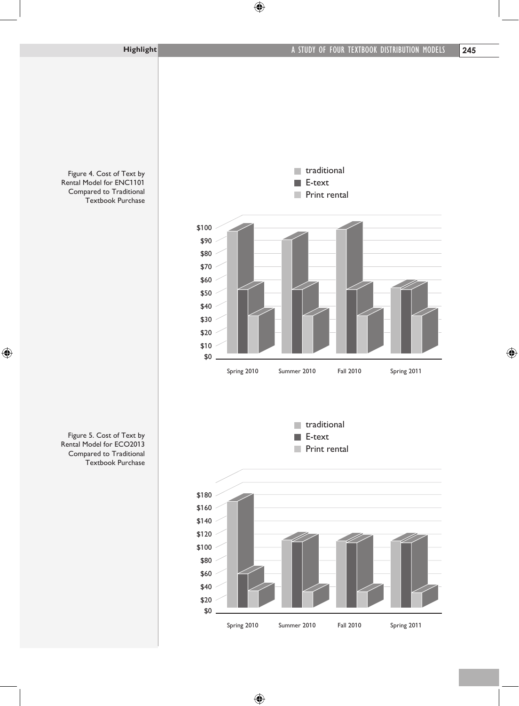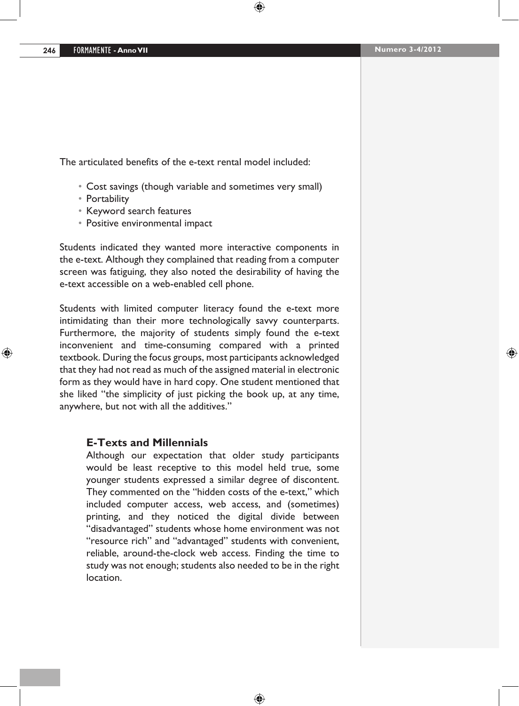The articulated benefits of the e-text rental model included:

- Cost savings (though variable and sometimes very small)
- • Portability
- • Keyword search features
- • Positive environmental impact

Students indicated they wanted more interactive components in the e-text. Although they complained that reading from a computer screen was fatiguing, they also noted the desirability of having the e-text accessible on a web-enabled cell phone.

Students with limited computer literacy found the e-text more intimidating than their more technologically savvy counterparts. Furthermore, the majority of students simply found the e-text inconvenient and time-consuming compared with a printed textbook. During the focus groups, most participants acknowledged that they had not read as much of the assigned material in electronic form as they would have in hard copy. One student mentioned that she liked "the simplicity of just picking the book up, at any time, anywhere, but not with all the additives."

#### **E-Texts and Millennials**

Although our expectation that older study participants would be least receptive to this model held true, some younger students expressed a similar degree of discontent. They commented on the "hidden costs of the e-text," which included computer access, web access, and (sometimes) printing, and they noticed the digital divide between "disadvantaged" students whose home environment was not "resource rich" and "advantaged" students with convenient, reliable, around-the-clock web access. Finding the time to study was not enough; students also needed to be in the right location.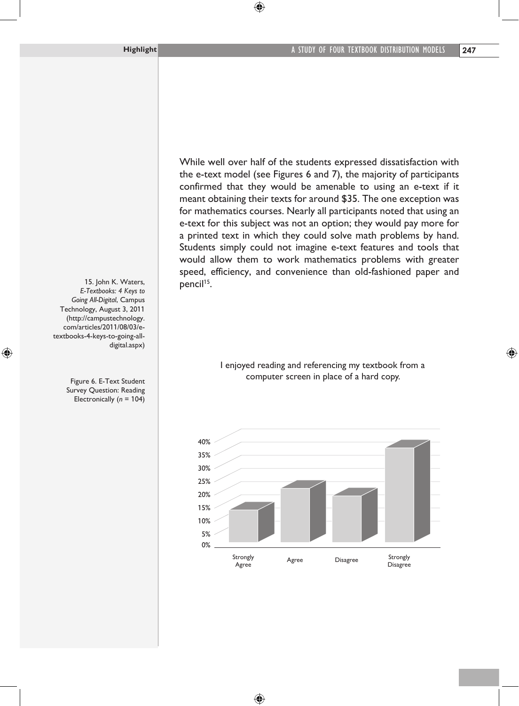While well over half of the students expressed dissatisfaction with the e-text model (see Figures 6 and 7), the majority of participants confirmed that they would be amenable to using an e-text if it meant obtaining their texts for around \$35. The one exception was for mathematics courses. Nearly all participants noted that using an e-text for this subject was not an option; they would pay more for a printed text in which they could solve math problems by hand. Students simply could not imagine e-text features and tools that would allow them to work mathematics problems with greater speed, efficiency, and convenience than old-fashioned paper and pencil<sup>15</sup>.

> I enjoyed reading and referencing my textbook from a computer screen in place of a hard copy.



15. John K. Waters, *E-Textbooks: 4 Keys to Going All-Digital*, Campus Technology, August 3, 2011 (http://campustechnology. com/articles/2011/08/03/etextbooks-4-keys-to-going-alldigital.aspx)

> Figure 6. E-Text Student Survey Question: Reading Electronically (*n* = 104)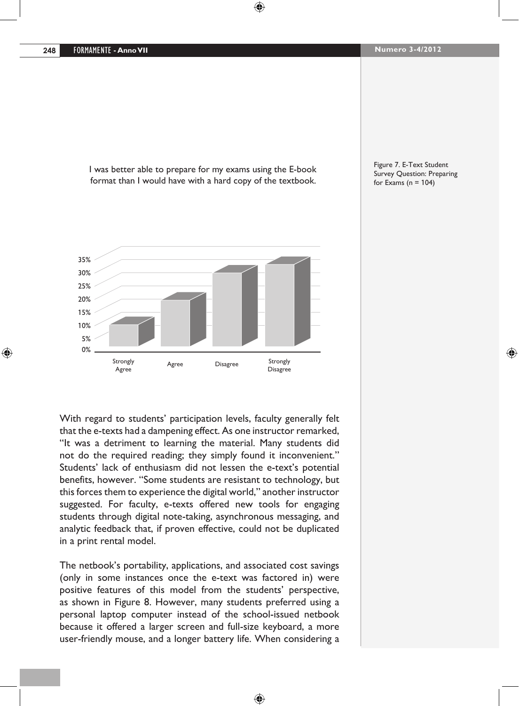I was better able to prepare for my exams using the E-book format than I would have with a hard copy of the textbook.



Figure 7. E-Text Student Survey Question: Preparing for Exams ( $n = 104$ )

With regard to students' participation levels, faculty generally felt that the e-texts had a dampening effect. As one instructor remarked, "It was a detriment to learning the material. Many students did not do the required reading; they simply found it inconvenient." Students' lack of enthusiasm did not lessen the e-text's potential benefits, however. "Some students are resistant to technology, but this forces them to experience the digital world," another instructor suggested. For faculty, e-texts offered new tools for engaging students through digital note-taking, asynchronous messaging, and analytic feedback that, if proven effective, could not be duplicated in a print rental model.

The netbook's portability, applications, and associated cost savings (only in some instances once the e-text was factored in) were positive features of this model from the students' perspective, as shown in Figure 8. However, many students preferred using a personal laptop computer instead of the school-issued netbook because it offered a larger screen and full-size keyboard, a more user-friendly mouse, and a longer battery life. When considering a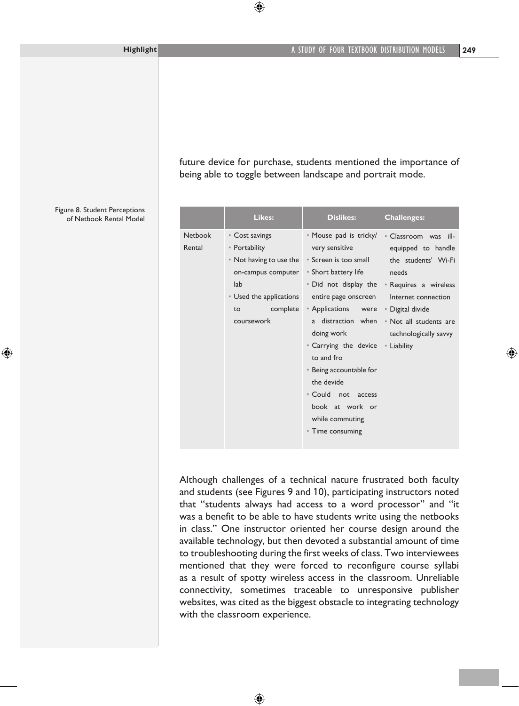future device for purchase, students mentioned the importance of being able to toggle between landscape and portrait mode.

|                          | Likes:                                                                                                                      | <b>Dislikes:</b>                                                                                                                                                                                                                                                                                                                                                      | <b>Challenges:</b>                                                                                                                       |
|--------------------------|-----------------------------------------------------------------------------------------------------------------------------|-----------------------------------------------------------------------------------------------------------------------------------------------------------------------------------------------------------------------------------------------------------------------------------------------------------------------------------------------------------------------|------------------------------------------------------------------------------------------------------------------------------------------|
| <b>Netbook</b><br>Rental | • Cost savings<br>• Portability<br>• Not having to use the • Screen is too small<br>on-campus computer • Short battery life | • Mouse pad is tricky/<br>very sensitive                                                                                                                                                                                                                                                                                                                              | • Classroom was ill-<br>equipped to handle<br>the students' Wi-Fi<br>needs                                                               |
|                          | lab<br>• Used the applications<br>to<br>coursework                                                                          | entire page onscreen<br>complete • Applications were • Digital divide<br>doing work and the state of the state of the state of the state of the state of the state of the state of the<br>• Carrying the device • Liability<br>to and fro<br>• Being accountable for<br>the devide<br>• Could not<br>access<br>book at work or<br>while commuting<br>• Time consuming | . Did not display the . Requires a wireless<br>Internet connection<br>a distraction when . Not all students are<br>technologically savvy |

Although challenges of a technical nature frustrated both faculty and students (see Figures 9 and 10), participating instructors noted that "students always had access to a word processor" and "it was a benefit to be able to have students write using the netbooks in class." One instructor oriented her course design around the available technology, but then devoted a substantial amount of time to troubleshooting during the first weeks of class. Two interviewees mentioned that they were forced to reconfigure course syllabi as a result of spotty wireless access in the classroom. Unreliable connectivity, sometimes traceable to unresponsive publisher websites, was cited as the biggest obstacle to integrating technology with the classroom experience.

Figure 8. Student Perceptions of Netbook Rental Model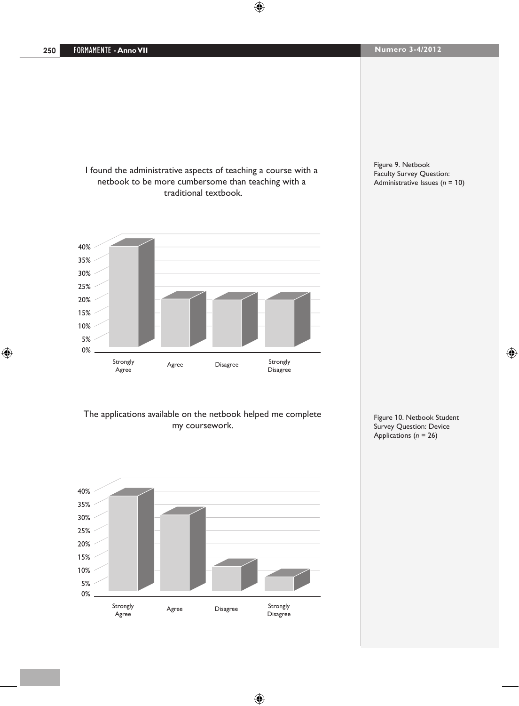I found the administrative aspects of teaching a course with a netbook to be more cumbersome than teaching with a traditional textbook.



#### Figure 9. Netbook Faculty Survey Question: Administrative Issues (*n* = 10)

The applications available on the netbook helped me complete my coursework.



Figure 10. Netbook Student Survey Question: Device Applications (*n* = 26)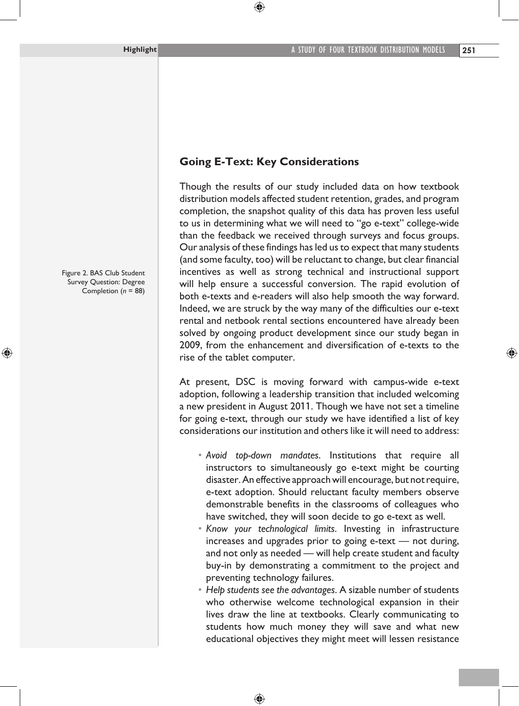# **Going E-Text: Key Considerations**

Though the results of our study included data on how textbook distribution models affected student retention, grades, and program completion, the snapshot quality of this data has proven less useful to us in determining what we will need to "go e-text" college-wide than the feedback we received through surveys and focus groups. Our analysis of these findings hasled usto expect that many students (and some faculty, too) will be reluctant to change, but clear financial incentives as well as strong technical and instructional support will help ensure a successful conversion. The rapid evolution of both e-texts and e-readers will also help smooth the way forward. Indeed, we are struck by the way many of the difficulties our e-text rental and netbook rental sections encountered have already been solved by ongoing product development since our study began in 2009, from the enhancement and diversification of e-texts to the rise of the tablet computer.

At present, DSC is moving forward with campus-wide e-text adoption, following a leadership transition that included welcoming a new president in August 2011. Though we have not set a timeline for going e-text, through our study we have identified a list of key considerations our institution and others like it will need to address:

- *• Avoid top-down mandates*. Institutions that require all instructors to simultaneously go e-text might be courting disaster.An effective approach will encourage, but notrequire, e-text adoption. Should reluctant faculty members observe demonstrable benefits in the classrooms of colleagues who have switched, they will soon decide to go e-text as well.
- *• Know your technological limits*. Investing in infrastructure increases and upgrades prior to going e-text — not during, and not only as needed — will help create student and faculty buy-in by demonstrating a commitment to the project and preventing technology failures.
- *• Help students see the advantages*. A sizable number of students who otherwise welcome technological expansion in their lives draw the line at textbooks. Clearly communicating to students how much money they will save and what new educational objectives they might meet will lessen resistance

Figure 2. BAS Club Student Survey Question: Degree Completion (*n* = 88)